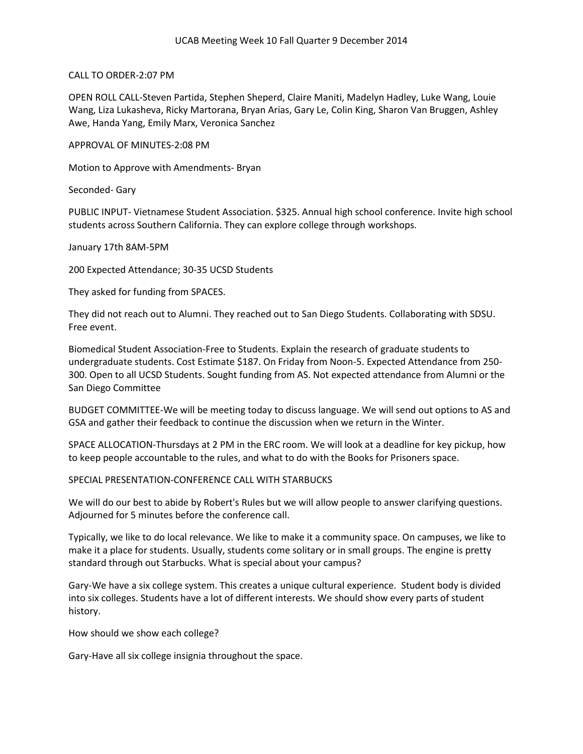## CALL TO ORDER-2:07 PM

OPEN ROLL CALL-Steven Partida, Stephen Sheperd, Claire Maniti, Madelyn Hadley, Luke Wang, Louie Wang, Liza Lukasheva, Ricky Martorana, Bryan Arias, Gary Le, Colin King, Sharon Van Bruggen, Ashley Awe, Handa Yang, Emily Marx, Veronica Sanchez

APPROVAL OF MINUTES-2:08 PM

Motion to Approve with Amendments- Bryan

Seconded- Gary

PUBLIC INPUT- Vietnamese Student Association. \$325. Annual high school conference. Invite high school students across Southern California. They can explore college through workshops.

January 17th 8AM-5PM

200 Expected Attendance; 30-35 UCSD Students

They asked for funding from SPACES.

They did not reach out to Alumni. They reached out to San Diego Students. Collaborating with SDSU. Free event.

Biomedical Student Association-Free to Students. Explain the research of graduate students to undergraduate students. Cost Estimate \$187. On Friday from Noon-5. Expected Attendance from 250- 300. Open to all UCSD Students. Sought funding from AS. Not expected attendance from Alumni or the San Diego Committee

BUDGET COMMITTEE-We will be meeting today to discuss language. We will send out options to AS and GSA and gather their feedback to continue the discussion when we return in the Winter.

SPACE ALLOCATION-Thursdays at 2 PM in the ERC room. We will look at a deadline for key pickup, how to keep people accountable to the rules, and what to do with the Books for Prisoners space.

## SPECIAL PRESENTATION-CONFERENCE CALL WITH STARBUCKS

We will do our best to abide by Robert's Rules but we will allow people to answer clarifying questions. Adjourned for 5 minutes before the conference call.

Typically, we like to do local relevance. We like to make it a community space. On campuses, we like to make it a place for students. Usually, students come solitary or in small groups. The engine is pretty standard through out Starbucks. What is special about your campus?

Gary-We have a six college system. This creates a unique cultural experience. Student body is divided into six colleges. Students have a lot of different interests. We should show every parts of student history.

How should we show each college?

Gary-Have all six college insignia throughout the space.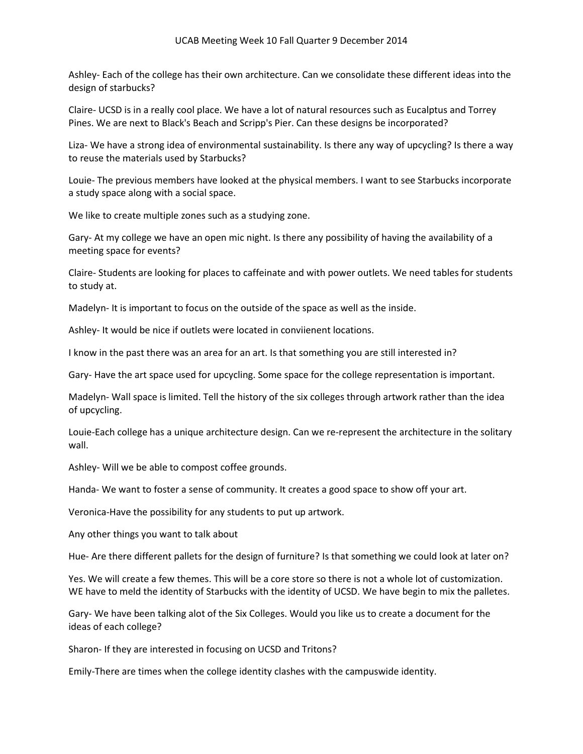Ashley- Each of the college has their own architecture. Can we consolidate these different ideas into the design of starbucks?

Claire- UCSD is in a really cool place. We have a lot of natural resources such as Eucalptus and Torrey Pines. We are next to Black's Beach and Scripp's Pier. Can these designs be incorporated?

Liza- We have a strong idea of environmental sustainability. Is there any way of upcycling? Is there a way to reuse the materials used by Starbucks?

Louie- The previous members have looked at the physical members. I want to see Starbucks incorporate a study space along with a social space.

We like to create multiple zones such as a studying zone.

Gary- At my college we have an open mic night. Is there any possibility of having the availability of a meeting space for events?

Claire- Students are looking for places to caffeinate and with power outlets. We need tables for students to study at.

Madelyn- It is important to focus on the outside of the space as well as the inside.

Ashley- It would be nice if outlets were located in conviienent locations.

I know in the past there was an area for an art. Is that something you are still interested in?

Gary- Have the art space used for upcycling. Some space for the college representation is important.

Madelyn- Wall space is limited. Tell the history of the six colleges through artwork rather than the idea of upcycling.

Louie-Each college has a unique architecture design. Can we re-represent the architecture in the solitary wall.

Ashley- Will we be able to compost coffee grounds.

Handa- We want to foster a sense of community. It creates a good space to show off your art.

Veronica-Have the possibility for any students to put up artwork.

Any other things you want to talk about

Hue- Are there different pallets for the design of furniture? Is that something we could look at later on?

Yes. We will create a few themes. This will be a core store so there is not a whole lot of customization. WE have to meld the identity of Starbucks with the identity of UCSD. We have begin to mix the palletes.

Gary- We have been talking alot of the Six Colleges. Would you like us to create a document for the ideas of each college?

Sharon- If they are interested in focusing on UCSD and Tritons?

Emily-There are times when the college identity clashes with the campuswide identity.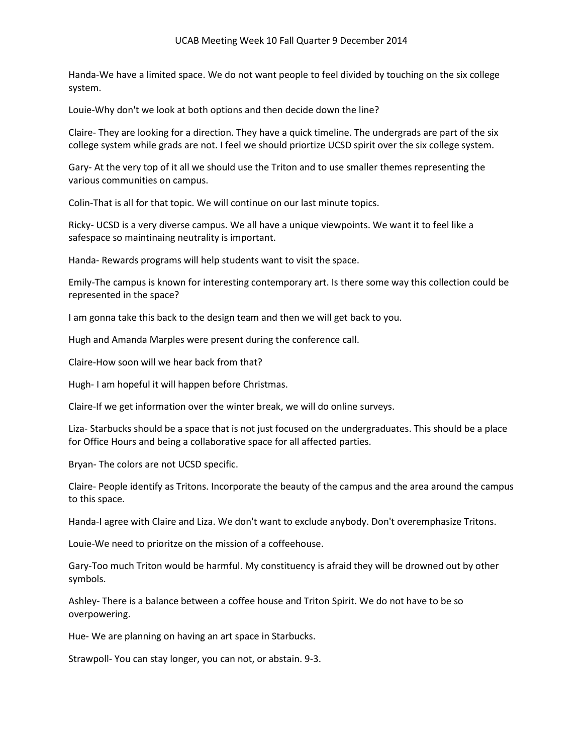Handa-We have a limited space. We do not want people to feel divided by touching on the six college system.

Louie-Why don't we look at both options and then decide down the line?

Claire- They are looking for a direction. They have a quick timeline. The undergrads are part of the six college system while grads are not. I feel we should priortize UCSD spirit over the six college system.

Gary- At the very top of it all we should use the Triton and to use smaller themes representing the various communities on campus.

Colin-That is all for that topic. We will continue on our last minute topics.

Ricky- UCSD is a very diverse campus. We all have a unique viewpoints. We want it to feel like a safespace so maintinaing neutrality is important.

Handa- Rewards programs will help students want to visit the space.

Emily-The campus is known for interesting contemporary art. Is there some way this collection could be represented in the space?

I am gonna take this back to the design team and then we will get back to you.

Hugh and Amanda Marples were present during the conference call.

Claire-How soon will we hear back from that?

Hugh- I am hopeful it will happen before Christmas.

Claire-If we get information over the winter break, we will do online surveys.

Liza- Starbucks should be a space that is not just focused on the undergraduates. This should be a place for Office Hours and being a collaborative space for all affected parties.

Bryan- The colors are not UCSD specific.

Claire- People identify as Tritons. Incorporate the beauty of the campus and the area around the campus to this space.

Handa-I agree with Claire and Liza. We don't want to exclude anybody. Don't overemphasize Tritons.

Louie-We need to prioritze on the mission of a coffeehouse.

Gary-Too much Triton would be harmful. My constituency is afraid they will be drowned out by other symbols.

Ashley- There is a balance between a coffee house and Triton Spirit. We do not have to be so overpowering.

Hue- We are planning on having an art space in Starbucks.

Strawpoll- You can stay longer, you can not, or abstain. 9-3.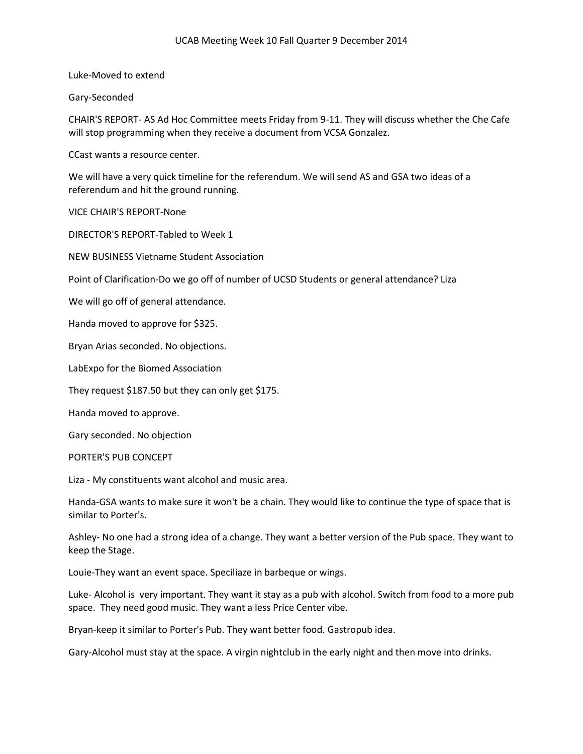Luke-Moved to extend

Gary-Seconded

CHAIR'S REPORT- AS Ad Hoc Committee meets Friday from 9-11. They will discuss whether the Che Cafe will stop programming when they receive a document from VCSA Gonzalez.

CCast wants a resource center.

We will have a very quick timeline for the referendum. We will send AS and GSA two ideas of a referendum and hit the ground running.

VICE CHAIR'S REPORT-None

DIRECTOR'S REPORT-Tabled to Week 1

NEW BUSINESS Vietname Student Association

Point of Clarification-Do we go off of number of UCSD Students or general attendance? Liza

We will go off of general attendance.

Handa moved to approve for \$325.

Bryan Arias seconded. No objections.

LabExpo for the Biomed Association

They request \$187.50 but they can only get \$175.

Handa moved to approve.

Gary seconded. No objection

PORTER'S PUB CONCEPT

Liza - My constituents want alcohol and music area.

Handa-GSA wants to make sure it won't be a chain. They would like to continue the type of space that is similar to Porter's.

Ashley- No one had a strong idea of a change. They want a better version of the Pub space. They want to keep the Stage.

Louie-They want an event space. Speciliaze in barbeque or wings.

Luke- Alcohol is very important. They want it stay as a pub with alcohol. Switch from food to a more pub space. They need good music. They want a less Price Center vibe.

Bryan-keep it similar to Porter's Pub. They want better food. Gastropub idea.

Gary-Alcohol must stay at the space. A virgin nightclub in the early night and then move into drinks.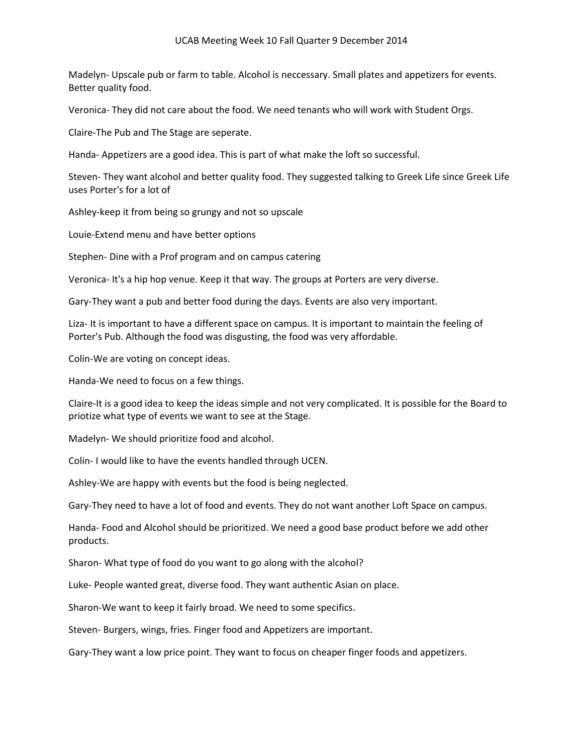## UCAB Meeting Week 10 Fall Quarter 9 December 2014

Madelyn- Upscale pub or farm to table. Alcohol is neccessary. Small plates and appetizers for events. Better quality food.

Veronica- They did not care about the food. We need tenants who will work with Student Orgs.

Claire-The Pub and The Stage are seperate.

Handa- Appetizers are a good idea. This is part of what make the loft so successful.

Steven- They want alcohol and better quality food. They suggested talking to Greek Life since Greek Life uses Porter's for a lot of

Ashley-keep it from being so grungy and not so upscale

Louie-Extend menu and have better options

Stephen- Dine with a Prof program and on campus catering

Veronica- It's a hip hop venue. Keep it that way. The groups at Porters are very diverse.

Gary-They want a pub and better food during the days. Events are also very important.

Liza- It is important to have a different space on campus. It is important to maintain the feeling of Porter's Pub. Although the food was disgusting, the food was very affordable.

Colin-We are voting on concept ideas.

Handa-We need to focus on a few things.

Claire-It is a good idea to keep the ideas simple and not very complicated. It is possible for the Board to priotize what type of events we want to see at the Stage.

Madelyn- We should prioritize food and alcohol.

Colin- I would like to have the events handled through UCEN.

Ashley-We are happy with events but the food is being neglected.

Gary-They need to have a lot of food and events. They do not want another Loft Space on campus.

Handa- Food and Alcohol should be prioritized. We need a good base product before we add other products.

Sharon- What type of food do you want to go along with the alcohol?

Luke- People wanted great, diverse food. They want authentic Asian on place.

Sharon-We want to keep it fairly broad. We need to some specifics.

Steven- Burgers, wings, fries. Finger food and Appetizers are important.

Gary-They want a low price point. They want to focus on cheaper finger foods and appetizers.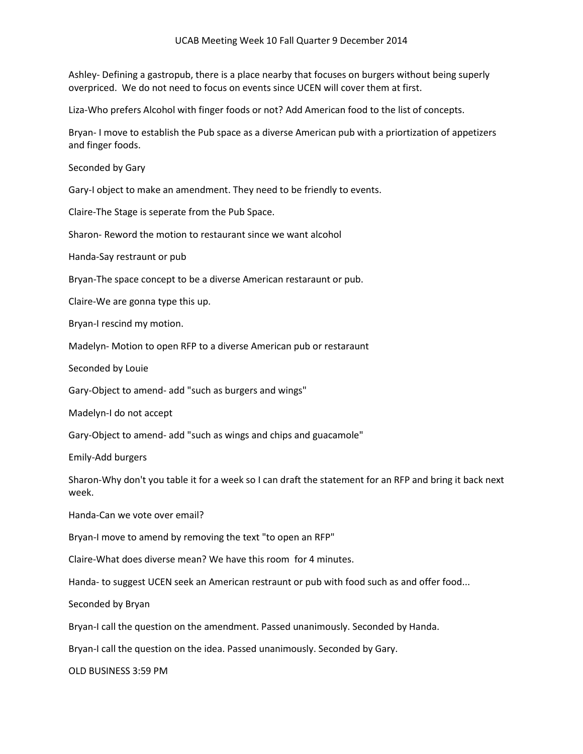## UCAB Meeting Week 10 Fall Quarter 9 December 2014

Ashley- Defining a gastropub, there is a place nearby that focuses on burgers without being superly overpriced. We do not need to focus on events since UCEN will cover them at first.

Liza-Who prefers Alcohol with finger foods or not? Add American food to the list of concepts.

Bryan- I move to establish the Pub space as a diverse American pub with a priortization of appetizers and finger foods.

Seconded by Gary

Gary-I object to make an amendment. They need to be friendly to events.

Claire-The Stage is seperate from the Pub Space.

Sharon- Reword the motion to restaurant since we want alcohol

Handa-Say restraunt or pub

Bryan-The space concept to be a diverse American restaraunt or pub.

Claire-We are gonna type this up.

Bryan-I rescind my motion.

Madelyn- Motion to open RFP to a diverse American pub or restaraunt

Seconded by Louie

Gary-Object to amend- add "such as burgers and wings"

Madelyn-I do not accept

Gary-Object to amend- add "such as wings and chips and guacamole"

Emily-Add burgers

Sharon-Why don't you table it for a week so I can draft the statement for an RFP and bring it back next week.

Handa-Can we vote over email?

Bryan-I move to amend by removing the text "to open an RFP"

Claire-What does diverse mean? We have this room for 4 minutes.

Handa- to suggest UCEN seek an American restraunt or pub with food such as and offer food...

Seconded by Bryan

Bryan-I call the question on the amendment. Passed unanimously. Seconded by Handa.

Bryan-I call the question on the idea. Passed unanimously. Seconded by Gary.

OLD BUSINESS 3:59 PM